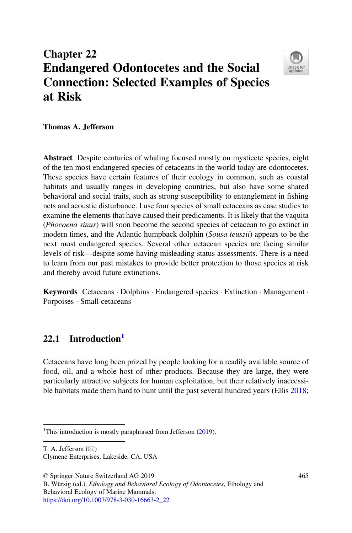# Chapter 22 Endangered Odontocetes and the Social Connection: Selected Examples of Species at Risk



Thomas A. Jefferson

Abstract Despite centuries of whaling focused mostly on mysticete species, eight of the ten most endangered species of cetaceans in the world today are odontocetes. These species have certain features of their ecology in common, such as coastal habitats and usually ranges in developing countries, but also have some shared behavioral and social traits, such as strong susceptibility to entanglement in fishing nets and acoustic disturbance. I use four species of small cetaceans as case studies to examine the elements that have caused their predicaments. It is likely that the vaquita (Phocoena sinus) will soon become the second species of cetacean to go extinct in modern times, and the Atlantic humpback dolphin (Sousa teuszii) appears to be the next most endangered species. Several other cetacean species are facing similar levels of risk—despite some having misleading status assessments. There is a need to learn from our past mistakes to provide better protection to those species at risk and thereby avoid future extinctions.

Keywords Cetaceans · Dolphins · Endangered species · Extinction · Management · Porpoises · Small cetaceans

## 22.1 Introduction<sup>1</sup>

Cetaceans have long been prized by people looking for a readily available source of food, oil, and a whole host of other products. Because they are large, they were particularly attractive subjects for human exploitation, but their relatively inaccessible habitats made them hard to hunt until the past several hundred years (Ellis 2018;

T. A. Jefferson  $(\boxtimes)$ 

Clymene Enterprises, Lakeside, CA, USA

© Springer Nature Switzerland AG 2019

B. Würsig (ed.), *Ethology and Behavioral Ecology of Odontocetes*, *Ethology and* Behavioral Ecology of Marine Mammals, https://doi.org/10.1007/978-3-030-16663-2\_22

465

<sup>&</sup>lt;sup>1</sup>This introduction is mostly paraphrased from Jefferson (2019).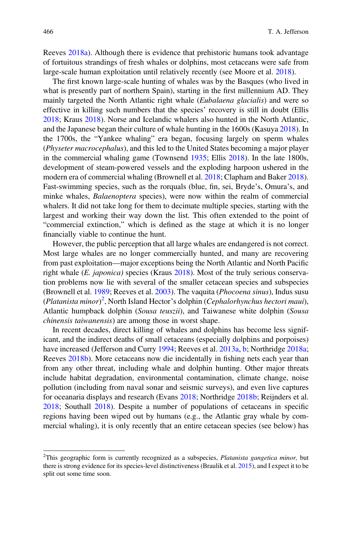Reeves 2018a). Although there is evidence that prehistoric humans took advantage of fortuitous strandings of fresh whales or dolphins, most cetaceans were safe from large-scale human exploitation until relatively recently (see Moore et al. 2018).

The first known large-scale hunting of whales was by the Basques (who lived in what is presently part of northern Spain), starting in the first millennium AD. They mainly targeted the North Atlantic right whale (Eubalaena glacialis) and were so effective in killing such numbers that the species' recovery is still in doubt (Ellis 2018; Kraus 2018). Norse and Icelandic whalers also hunted in the North Atlantic, and the Japanese began their culture of whale hunting in the 1600s (Kasuya 2018). In the 1700s, the "Yankee whaling" era began, focusing largely on sperm whales (Physeter macrocephalus), and this led to the United States becoming a major player in the commercial whaling game (Townsend 1935; Ellis 2018). In the late 1800s, development of steam-powered vessels and the exploding harpoon ushered in the modern era of commercial whaling (Brownell et al. 2018; Clapham and Baker 2018). Fast-swimming species, such as the rorquals (blue, fin, sei, Bryde's, Omura's, and minke whales, Balaenoptera species), were now within the realm of commercial whalers. It did not take long for them to decimate multiple species, starting with the largest and working their way down the list. This often extended to the point of "commercial extinction," which is defined as the stage at which it is no longer financially viable to continue the hunt.

However, the public perception that all large whales are endangered is not correct. Most large whales are no longer commercially hunted, and many are recovering from past exploitation—major exceptions being the North Atlantic and North Pacific right whale (E. japonica) species (Kraus 2018). Most of the truly serious conservation problems now lie with several of the smaller cetacean species and subspecies (Brownell et al. 1989; Reeves et al. 2003). The vaquita (Phocoena sinus), Indus susu (Platanista minor)<sup>2</sup>, North Island Hector's dolphin (Cephalorhynchus hectori maui), Atlantic humpback dolphin (Sousa teuszii), and Taiwanese white dolphin (Sousa chinensis taiwanensis) are among those in worst shape.

In recent decades, direct killing of whales and dolphins has become less significant, and the indirect deaths of small cetaceans (especially dolphins and porpoises) have increased (Jefferson and Curry 1994; Reeves et al. 2013a, b; Northridge 2018a; Reeves 2018b). More cetaceans now die incidentally in fishing nets each year than from any other threat, including whale and dolphin hunting. Other major threats include habitat degradation, environmental contamination, climate change, noise pollution (including from naval sonar and seismic surveys), and even live captures for oceanaria displays and research (Evans 2018; Northridge 2018b; Reijnders et al. 2018; Southall 2018). Despite a number of populations of cetaceans in specific regions having been wiped out by humans (e.g., the Atlantic gray whale by commercial whaling), it is only recently that an entire cetacean species (see below) has

<sup>&</sup>lt;sup>2</sup>This geographic form is currently recognized as a subspecies, Platanista gangetica minor, but there is strong evidence for its species-level distinctiveness (Braulik et al. 2015), and I expect it to be split out some time soon.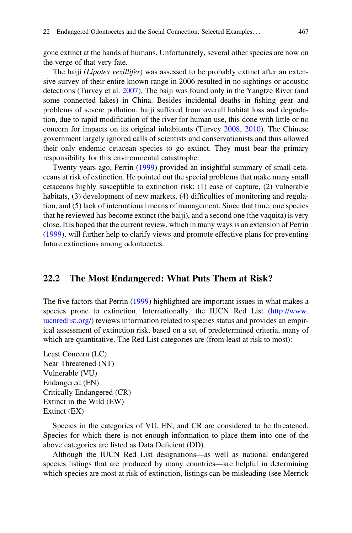gone extinct at the hands of humans. Unfortunately, several other species are now on the verge of that very fate.

The baiji (*Lipotes vexillifer*) was assessed to be probably extinct after an extensive survey of their entire known range in 2006 resulted in no sightings or acoustic detections (Turvey et al. 2007). The baiji was found only in the Yangtze River (and some connected lakes) in China. Besides incidental deaths in fishing gear and problems of severe pollution, baiji suffered from overall habitat loss and degradation, due to rapid modification of the river for human use, this done with little or no concern for impacts on its original inhabitants (Turvey 2008, 2010). The Chinese government largely ignored calls of scientists and conservationists and thus allowed their only endemic cetacean species to go extinct. They must bear the primary responsibility for this environmental catastrophe.

Twenty years ago, Perrin (1999) provided an insightful summary of small cetaceans at risk of extinction. He pointed out the special problems that make many small cetaceans highly susceptible to extinction risk: (1) ease of capture, (2) vulnerable habitats, (3) development of new markets, (4) difficulties of monitoring and regulation, and (5) lack of international means of management. Since that time, one species that he reviewed has become extinct (the baiji), and a second one (the vaquita) is very close. It is hoped that the current review, which in many ways is an extension of Perrin (1999), will further help to clarify views and promote effective plans for preventing future extinctions among odontocetes.

#### 22.2 The Most Endangered: What Puts Them at Risk?

The five factors that Perrin (1999) highlighted are important issues in what makes a species prone to extinction. Internationally, the IUCN Red List ([http://www.](http://www.iucnredlist.org/) [iucnredlist.org/\)](http://www.iucnredlist.org/) reviews information related to species status and provides an empirical assessment of extinction risk, based on a set of predetermined criteria, many of which are quantitative. The Red List categories are (from least at risk to most):

Least Concern (LC) Near Threatened (NT) Vulnerable (VU) Endangered (EN) Critically Endangered (CR) Extinct in the Wild (EW) Extinct (EX)

Species in the categories of VU, EN, and CR are considered to be threatened. Species for which there is not enough information to place them into one of the above categories are listed as Data Deficient (DD).

Although the IUCN Red List designations—as well as national endangered species listings that are produced by many countries—are helpful in determining which species are most at risk of extinction, listings can be misleading (see Merrick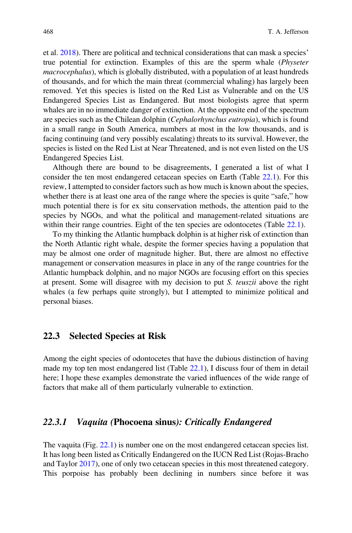et al. 2018). There are political and technical considerations that can mask a species' true potential for extinction. Examples of this are the sperm whale (Physeter macrocephalus), which is globally distributed, with a population of at least hundreds of thousands, and for which the main threat (commercial whaling) has largely been removed. Yet this species is listed on the Red List as Vulnerable and on the US Endangered Species List as Endangered. But most biologists agree that sperm whales are in no immediate danger of extinction. At the opposite end of the spectrum are species such as the Chilean dolphin (Cephalorhynchus eutropia), which is found in a small range in South America, numbers at most in the low thousands, and is facing continuing (and very possibly escalating) threats to its survival. However, the species is listed on the Red List at Near Threatened, and is not even listed on the US Endangered Species List.

Although there are bound to be disagreements, I generated a list of what I consider the ten most endangered cetacean species on Earth (Table 22.1). For this review, I attempted to consider factors such as how much is known about the species, whether there is at least one area of the range where the species is quite "safe," how much potential there is for ex situ conservation methods, the attention paid to the species by NGOs, and what the political and management-related situations are within their range countries. Eight of the ten species are odontocetes (Table 22.1).

To my thinking the Atlantic humpback dolphin is at higher risk of extinction than the North Atlantic right whale, despite the former species having a population that may be almost one order of magnitude higher. But, there are almost no effective management or conservation measures in place in any of the range countries for the Atlantic humpback dolphin, and no major NGOs are focusing effort on this species at present. Some will disagree with my decision to put S. teuszii above the right whales (a few perhaps quite strongly), but I attempted to minimize political and personal biases.

#### 22.3 Selected Species at Risk

Among the eight species of odontocetes that have the dubious distinction of having made my top ten most endangered list (Table 22.1), I discuss four of them in detail here; I hope these examples demonstrate the varied influences of the wide range of factors that make all of them particularly vulnerable to extinction.

### 22.3.1 Vaquita (Phocoena sinus): Critically Endangered

The vaquita (Fig. 22.1) is number one on the most endangered cetacean species list. It has long been listed as Critically Endangered on the IUCN Red List (Rojas-Bracho and Taylor 2017), one of only two cetacean species in this most threatened category. This porpoise has probably been declining in numbers since before it was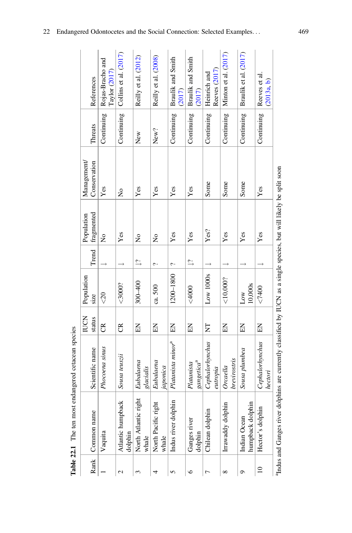|                |                                     |                                      | <b>IUCN</b>    | Population                 |                                | Population           | Management           |            |                                   |
|----------------|-------------------------------------|--------------------------------------|----------------|----------------------------|--------------------------------|----------------------|----------------------|------------|-----------------------------------|
| Rank           | Common name                         | Scientific name                      | status         | size                       | Trend                          | fragmented           | Conservation         | Threats    | References                        |
|                | Vaquita                             | Phocoena sinus                       | g              | $\overline{\mathrm{C}}$    |                                | $\tilde{z}$          | Yes                  | Continuing | Rojas-Bracho and<br>Taylor (2017) |
| $\mathcal{C}$  | Atlantic humpback<br>dolphin        | Sousa teuszii                        | g              | $< 3000$ ?                 |                                | Yes                  | $\tilde{\mathsf{z}}$ | Continuing | Collins et al. (2017)             |
| 3              | e.ht<br>North Atlantic rig<br>whale | Eubalaena<br>glacialis               | EN             | 300-400                    | $\stackrel{\sim}{\rightarrow}$ | $\tilde{\mathsf{z}}$ | Yes                  | New        | Reilly et al. (2012)              |
|                | North Pacific right<br>whale        | Eubalaena<br>japonica                | K              | ca. 500                    | $\sim$                         | $\tilde{\mathbf{z}}$ | Yes                  | New?       | Reilly et al. (2008)              |
| 5              | Indus river dolphin                 | Platanista minor <sup>a</sup>        | E              | 1200-1800                  | ç.                             | Yes                  | Yes                  | Continuing | Braulik and Smith<br>(2017)       |
|                | Ganges river<br>dolphin             | gangetica <sup>a</sup><br>Platanista | $_{\rm E}$     | < 4000                     | $\tilde{c}$                    | Yes                  | Yes                  | Continuing | Braulik and Smith<br>(2017)       |
| ٣              | Chilean dolphin                     | Cephalorhynchus<br>eutropia          | Ę              | Low 1000s                  |                                | Yes?                 | Some                 | Continuing | Reeves (2017)<br>Heinrich and     |
| ∞              | Irrawaddy dolphin                   | brevirostris<br>Orcaella             | $\overline{E}$ | < 10,000?                  |                                | Yes                  | Some                 | Continuing | Minton et al. (2017)              |
| ᢦ              | 吕<br>humpback dolph<br>Indian Ocean | Sousa plumbea                        | 叾              | 10,000s<br>$_{\text{Low}}$ |                                | Yes                  | Some                 | Continuing | Braulik et al. (2017)             |
| $\overline{a}$ | Hector's dolphin                    | Cephalorhynchus<br>hectori           | $_{\rm E}$     | < 7400                     |                                | Yes                  | Yes                  | Continuing | Reeves et al.<br>(2013a, b)       |
|                |                                     |                                      |                | -<br>-<br>-<br>-           |                                |                      |                      |            |                                   |

Table 22.1 The ten most endangered cetacean species **Table 22.1** The ten most endangered cetacean species Indus and Ganges river dolphins are currently classified by IUCN as a single species, but will likely be split soon aIndus and Ganges river dolphins are currently classified by IUCN as a single species, but will likely be split soon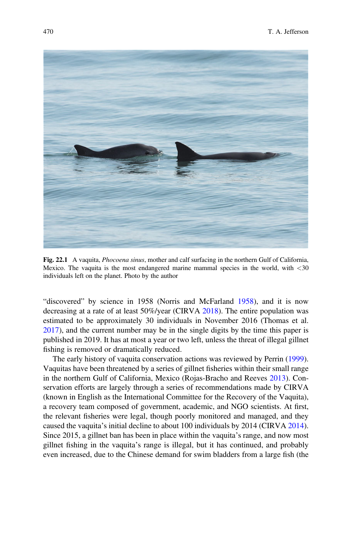

Fig. 22.1 A vaquita, *Phocoena sinus*, mother and calf surfacing in the northern Gulf of California, Mexico. The vaquita is the most endangered marine mammal species in the world, with <30 individuals left on the planet. Photo by the author

"discovered" by science in 1958 (Norris and McFarland 1958), and it is now decreasing at a rate of at least 50%/year (CIRVA 2018). The entire population was estimated to be approximately 30 individuals in November 2016 (Thomas et al. 2017), and the current number may be in the single digits by the time this paper is published in 2019. It has at most a year or two left, unless the threat of illegal gillnet fishing is removed or dramatically reduced.

The early history of vaquita conservation actions was reviewed by Perrin (1999). Vaquitas have been threatened by a series of gillnet fisheries within their small range in the northern Gulf of California, Mexico (Rojas-Bracho and Reeves 2013). Conservation efforts are largely through a series of recommendations made by CIRVA (known in English as the International Committee for the Recovery of the Vaquita), a recovery team composed of government, academic, and NGO scientists. At first, the relevant fisheries were legal, though poorly monitored and managed, and they caused the vaquita's initial decline to about 100 individuals by 2014 (CIRVA 2014). Since 2015, a gillnet ban has been in place within the vaquita's range, and now most gillnet fishing in the vaquita's range is illegal, but it has continued, and probably even increased, due to the Chinese demand for swim bladders from a large fish (the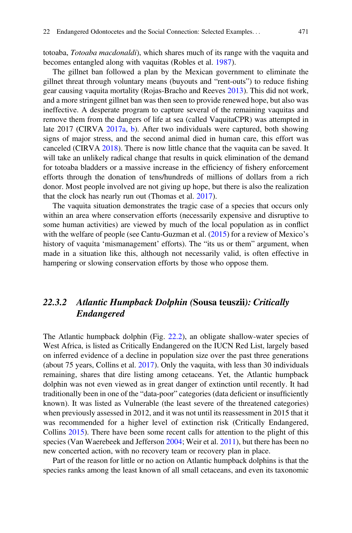totoaba, Totoaba macdonaldi), which shares much of its range with the vaquita and becomes entangled along with vaquitas (Robles et al. 1987).

The gillnet ban followed a plan by the Mexican government to eliminate the gillnet threat through voluntary means (buyouts and "rent-outs") to reduce fishing gear causing vaquita mortality (Rojas-Bracho and Reeves 2013). This did not work, and a more stringent gillnet ban was then seen to provide renewed hope, but also was ineffective. A desperate program to capture several of the remaining vaquitas and remove them from the dangers of life at sea (called VaquitaCPR) was attempted in late 2017 (CIRVA 2017a, b). After two individuals were captured, both showing signs of major stress, and the second animal died in human care, this effort was canceled (CIRVA 2018). There is now little chance that the vaquita can be saved. It will take an unlikely radical change that results in quick elimination of the demand for totoaba bladders or a massive increase in the efficiency of fishery enforcement efforts through the donation of tens/hundreds of millions of dollars from a rich donor. Most people involved are not giving up hope, but there is also the realization that the clock has nearly run out (Thomas et al. 2017).

The vaquita situation demonstrates the tragic case of a species that occurs only within an area where conservation efforts (necessarily expensive and disruptive to some human activities) are viewed by much of the local population as in conflict with the welfare of people (see Cantu-Guzman et al.  $(2015)$  for a review of Mexico's history of vaquita 'mismanagement' efforts). The "its us or them" argument, when made in a situation like this, although not necessarily valid, is often effective in hampering or slowing conservation efforts by those who oppose them.

## 22.3.2 Atlantic Humpback Dolphin (Sousa teuszii): Critically Endangered

The Atlantic humpback dolphin (Fig. 22.2), an obligate shallow-water species of West Africa, is listed as Critically Endangered on the IUCN Red List, largely based on inferred evidence of a decline in population size over the past three generations (about 75 years, Collins et al. 2017). Only the vaquita, with less than 30 individuals remaining, shares that dire listing among cetaceans. Yet, the Atlantic humpback dolphin was not even viewed as in great danger of extinction until recently. It had traditionally been in one of the "data-poor" categories (data deficient or insufficiently known). It was listed as Vulnerable (the least severe of the threatened categories) when previously assessed in 2012, and it was not until its reassessment in 2015 that it was recommended for a higher level of extinction risk (Critically Endangered, Collins 2015). There have been some recent calls for attention to the plight of this species (Van Waerebeek and Jefferson 2004; Weir et al. 2011), but there has been no new concerted action, with no recovery team or recovery plan in place.

Part of the reason for little or no action on Atlantic humpback dolphins is that the species ranks among the least known of all small cetaceans, and even its taxonomic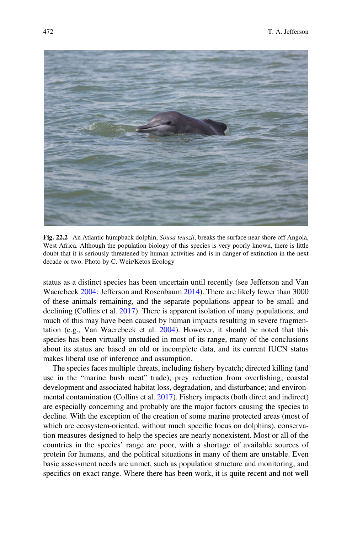

Fig. 22.2 An Atlantic humpback dolphin, Sousa teuszii, breaks the surface near shore off Angola, West Africa. Although the population biology of this species is very poorly known, there is little doubt that it is seriously threatened by human activities and is in danger of extinction in the next decade or two. Photo by C. Weir/Ketos Ecology

status as a distinct species has been uncertain until recently (see Jefferson and Van Waerebeek 2004; Jefferson and Rosenbaum 2014). There are likely fewer than 3000 of these animals remaining, and the separate populations appear to be small and declining (Collins et al. 2017). There is apparent isolation of many populations, and much of this may have been caused by human impacts resulting in severe fragmentation (e.g., Van Waerebeek et al. 2004). However, it should be noted that this species has been virtually unstudied in most of its range, many of the conclusions about its status are based on old or incomplete data, and its current IUCN status makes liberal use of inference and assumption.

The species faces multiple threats, including fishery bycatch; directed killing (and use in the "marine bush meat" trade); prey reduction from overfishing; coastal development and associated habitat loss, degradation, and disturbance; and environmental contamination (Collins et al. 2017). Fishery impacts (both direct and indirect) are especially concerning and probably are the major factors causing the species to decline. With the exception of the creation of some marine protected areas (most of which are ecosystem-oriented, without much specific focus on dolphins), conservation measures designed to help the species are nearly nonexistent. Most or all of the countries in the species' range are poor, with a shortage of available sources of protein for humans, and the political situations in many of them are unstable. Even basic assessment needs are unmet, such as population structure and monitoring, and specifics on exact range. Where there has been work, it is quite recent and not well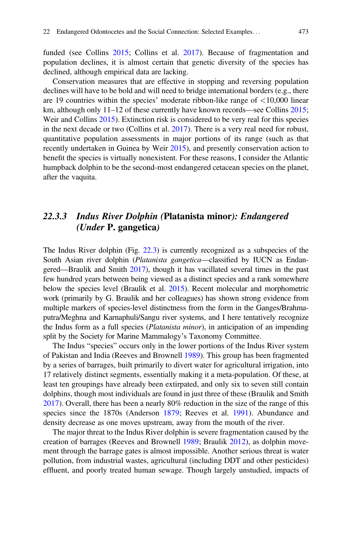funded (see Collins 2015; Collins et al. 2017). Because of fragmentation and population declines, it is almost certain that genetic diversity of the species has declined, although empirical data are lacking.

Conservation measures that are effective in stopping and reversing population declines will have to be bold and will need to bridge international borders (e.g., there are 19 countries within the species' moderate ribbon-like range of  $\langle 10,000 \rangle$  linear km, although only 11–12 of these currently have known records—see Collins 2015; Weir and Collins 2015). Extinction risk is considered to be very real for this species in the next decade or two (Collins et al. 2017). There is a very real need for robust, quantitative population assessments in major portions of its range (such as that recently undertaken in Guinea by Weir 2015), and presently conservation action to benefit the species is virtually nonexistent. For these reasons, I consider the Atlantic humpback dolphin to be the second-most endangered cetacean species on the planet, after the vaquita.

## 22.3.3 Indus River Dolphin (Platanista minor): Endangered (Under P. gangetica)

The Indus River dolphin (Fig. 22.3) is currently recognized as a subspecies of the South Asian river dolphin (Platanista gangetica-classified by IUCN as Endangered—Braulik and Smith 2017), though it has vacillated several times in the past few hundred years between being viewed as a distinct species and a rank somewhere below the species level (Braulik et al. 2015). Recent molecular and morphometric work (primarily by G. Braulik and her colleagues) has shown strong evidence from multiple markers of species-level distinctness from the form in the Ganges/Brahmaputra/Meghna and Karnaphuli/Sangu river systems, and I here tentatively recognize the Indus form as a full species (Platanista minor), in anticipation of an impending split by the Society for Marine Mammalogy's Taxonomy Committee.

The Indus "species" occurs only in the lower portions of the Indus River system of Pakistan and India (Reeves and Brownell 1989). This group has been fragmented by a series of barrages, built primarily to divert water for agricultural irrigation, into 17 relatively distinct segments, essentially making it a meta-population. Of these, at least ten groupings have already been extirpated, and only six to seven still contain dolphins, though most individuals are found in just three of these (Braulik and Smith 2017). Overall, there has been a nearly 80% reduction in the size of the range of this species since the 1870s (Anderson 1879; Reeves et al. 1991). Abundance and density decrease as one moves upstream, away from the mouth of the river.

The major threat to the Indus River dolphin is severe fragmentation caused by the creation of barrages (Reeves and Brownell 1989; Braulik 2012), as dolphin movement through the barrage gates is almost impossible. Another serious threat is water pollution, from industrial wastes, agricultural (including DDT and other pesticides) effluent, and poorly treated human sewage. Though largely unstudied, impacts of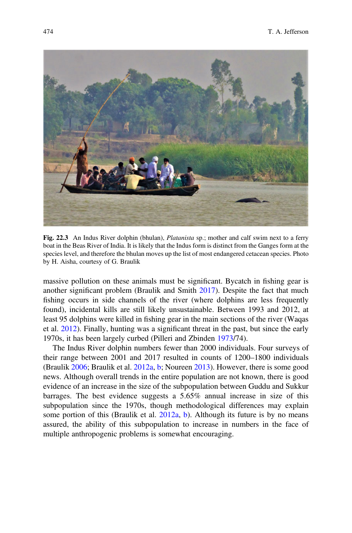

Fig. 22.3 An Indus River dolphin (bhulan), *Platanista* sp.; mother and calf swim next to a ferry boat in the Beas River of India. It is likely that the Indus form is distinct from the Ganges form at the species level, and therefore the bhulan moves up the list of most endangered cetacean species. Photo by H. Aisha, courtesy of G. Braulik

massive pollution on these animals must be significant. Bycatch in fishing gear is another significant problem (Braulik and Smith 2017). Despite the fact that much fishing occurs in side channels of the river (where dolphins are less frequently found), incidental kills are still likely unsustainable. Between 1993 and 2012, at least 95 dolphins were killed in fishing gear in the main sections of the river (Waqas et al. 2012). Finally, hunting was a significant threat in the past, but since the early 1970s, it has been largely curbed (Pilleri and Zbinden 1973/74).

The Indus River dolphin numbers fewer than 2000 individuals. Four surveys of their range between 2001 and 2017 resulted in counts of 1200–1800 individuals (Braulik 2006; Braulik et al. 2012a, b; Noureen 2013). However, there is some good news. Although overall trends in the entire population are not known, there is good evidence of an increase in the size of the subpopulation between Guddu and Sukkur barrages. The best evidence suggests a 5.65% annual increase in size of this subpopulation since the 1970s, though methodological differences may explain some portion of this (Braulik et al. 2012a, b). Although its future is by no means assured, the ability of this subpopulation to increase in numbers in the face of multiple anthropogenic problems is somewhat encouraging.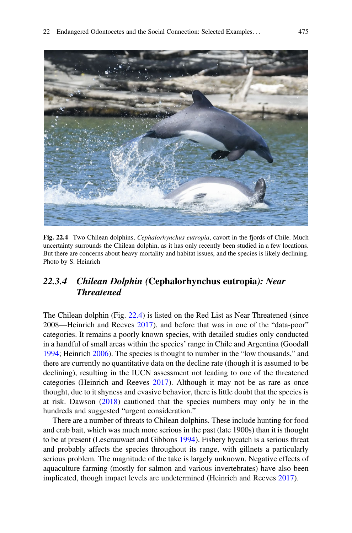

Fig. 22.4 Two Chilean dolphins, *Cephalorhynchus eutropia*, cavort in the fjords of Chile. Much uncertainty surrounds the Chilean dolphin, as it has only recently been studied in a few locations. But there are concerns about heavy mortality and habitat issues, and the species is likely declining. Photo by S. Heinrich

## 22.3.4 Chilean Dolphin (Cephalorhynchus eutropia): Near **Threatened**

The Chilean dolphin (Fig. 22.4) is listed on the Red List as Near Threatened (since 2008—Heinrich and Reeves 2017), and before that was in one of the "data-poor" categories. It remains a poorly known species, with detailed studies only conducted in a handful of small areas within the species' range in Chile and Argentina (Goodall 1994; Heinrich 2006). The species is thought to number in the "low thousands," and there are currently no quantitative data on the decline rate (though it is assumed to be declining), resulting in the IUCN assessment not leading to one of the threatened categories (Heinrich and Reeves 2017). Although it may not be as rare as once thought, due to it shyness and evasive behavior, there is little doubt that the species is at risk. Dawson (2018) cautioned that the species numbers may only be in the hundreds and suggested "urgent consideration."

There are a number of threats to Chilean dolphins. These include hunting for food and crab bait, which was much more serious in the past (late 1900s) than it is thought to be at present (Lescrauwaet and Gibbons 1994). Fishery bycatch is a serious threat and probably affects the species throughout its range, with gillnets a particularly serious problem. The magnitude of the take is largely unknown. Negative effects of aquaculture farming (mostly for salmon and various invertebrates) have also been implicated, though impact levels are undetermined (Heinrich and Reeves 2017).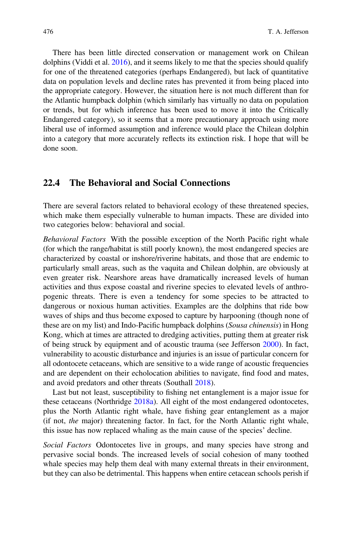There has been little directed conservation or management work on Chilean dolphins (Viddi et al. 2016), and it seems likely to me that the species should qualify for one of the threatened categories (perhaps Endangered), but lack of quantitative data on population levels and decline rates has prevented it from being placed into the appropriate category. However, the situation here is not much different than for the Atlantic humpback dolphin (which similarly has virtually no data on population or trends, but for which inference has been used to move it into the Critically Endangered category), so it seems that a more precautionary approach using more liberal use of informed assumption and inference would place the Chilean dolphin into a category that more accurately reflects its extinction risk. I hope that will be done soon.

## 22.4 The Behavioral and Social Connections

There are several factors related to behavioral ecology of these threatened species, which make them especially vulnerable to human impacts. These are divided into two categories below: behavioral and social.

Behavioral Factors With the possible exception of the North Pacific right whale (for which the range/habitat is still poorly known), the most endangered species are characterized by coastal or inshore/riverine habitats, and those that are endemic to particularly small areas, such as the vaquita and Chilean dolphin, are obviously at even greater risk. Nearshore areas have dramatically increased levels of human activities and thus expose coastal and riverine species to elevated levels of anthropogenic threats. There is even a tendency for some species to be attracted to dangerous or noxious human activities. Examples are the dolphins that ride bow waves of ships and thus become exposed to capture by harpooning (though none of these are on my list) and Indo-Pacific humpback dolphins (Sousa chinensis) in Hong Kong, which at times are attracted to dredging activities, putting them at greater risk of being struck by equipment and of acoustic trauma (see Jefferson 2000). In fact, vulnerability to acoustic disturbance and injuries is an issue of particular concern for all odontocete cetaceans, which are sensitive to a wide range of acoustic frequencies and are dependent on their echolocation abilities to navigate, find food and mates, and avoid predators and other threats (Southall 2018).

Last but not least, susceptibility to fishing net entanglement is a major issue for these cetaceans (Northridge 2018a). All eight of the most endangered odontocetes, plus the North Atlantic right whale, have fishing gear entanglement as a major (if not, the major) threatening factor. In fact, for the North Atlantic right whale, this issue has now replaced whaling as the main cause of the species' decline.

Social Factors Odontocetes live in groups, and many species have strong and pervasive social bonds. The increased levels of social cohesion of many toothed whale species may help them deal with many external threats in their environment, but they can also be detrimental. This happens when entire cetacean schools perish if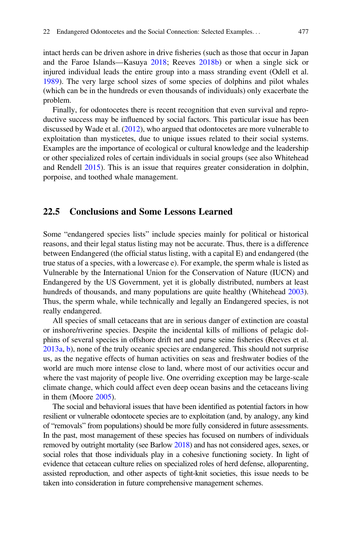intact herds can be driven ashore in drive fisheries (such as those that occur in Japan and the Faroe Islands—Kasuya 2018; Reeves 2018b) or when a single sick or injured individual leads the entire group into a mass stranding event (Odell et al. 1989). The very large school sizes of some species of dolphins and pilot whales (which can be in the hundreds or even thousands of individuals) only exacerbate the problem.

Finally, for odontocetes there is recent recognition that even survival and reproductive success may be influenced by social factors. This particular issue has been discussed by Wade et al. (2012), who argued that odontocetes are more vulnerable to exploitation than mysticetes, due to unique issues related to their social systems. Examples are the importance of ecological or cultural knowledge and the leadership or other specialized roles of certain individuals in social groups (see also Whitehead and Rendell 2015). This is an issue that requires greater consideration in dolphin, porpoise, and toothed whale management.

### 22.5 Conclusions and Some Lessons Learned

Some "endangered species lists" include species mainly for political or historical reasons, and their legal status listing may not be accurate. Thus, there is a difference between Endangered (the official status listing, with a capital E) and endangered (the true status of a species, with a lowercase e). For example, the sperm whale is listed as Vulnerable by the International Union for the Conservation of Nature (IUCN) and Endangered by the US Government, yet it is globally distributed, numbers at least hundreds of thousands, and many populations are quite healthy (Whitehead 2003). Thus, the sperm whale, while technically and legally an Endangered species, is not really endangered.

All species of small cetaceans that are in serious danger of extinction are coastal or inshore/riverine species. Despite the incidental kills of millions of pelagic dolphins of several species in offshore drift net and purse seine fisheries (Reeves et al. 2013a, b), none of the truly oceanic species are endangered. This should not surprise us, as the negative effects of human activities on seas and freshwater bodies of the world are much more intense close to land, where most of our activities occur and where the vast majority of people live. One overriding exception may be large-scale climate change, which could affect even deep ocean basins and the cetaceans living in them (Moore 2005).

The social and behavioral issues that have been identified as potential factors in how resilient or vulnerable odontocete species are to exploitation (and, by analogy, any kind of "removals" from populations) should be more fully considered in future assessments. In the past, most management of these species has focused on numbers of individuals removed by outright mortality (see Barlow 2018) and has not considered ages, sexes, or social roles that those individuals play in a cohesive functioning society. In light of evidence that cetacean culture relies on specialized roles of herd defense, alloparenting, assisted reproduction, and other aspects of tight-knit societies, this issue needs to be taken into consideration in future comprehensive management schemes.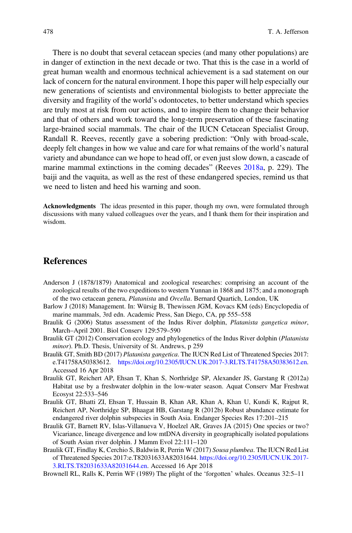There is no doubt that several cetacean species (and many other populations) are in danger of extinction in the next decade or two. That this is the case in a world of great human wealth and enormous technical achievement is a sad statement on our lack of concern for the natural environment. I hope this paper will help especially our new generations of scientists and environmental biologists to better appreciate the diversity and fragility of the world's odontocetes, to better understand which species are truly most at risk from our actions, and to inspire them to change their behavior and that of others and work toward the long-term preservation of these fascinating large-brained social mammals. The chair of the IUCN Cetacean Specialist Group, Randall R. Reeves, recently gave a sobering prediction: "Only with broad-scale, deeply felt changes in how we value and care for what remains of the world's natural variety and abundance can we hope to head off, or even just slow down, a cascade of marine mammal extinctions in the coming decades" (Reeves 2018a, p. 229). The baiji and the vaquita, as well as the rest of these endangered species, remind us that we need to listen and heed his warning and soon.

Acknowledgments The ideas presented in this paper, though my own, were formulated through discussions with many valued colleagues over the years, and I thank them for their inspiration and wisdom.

## **References**

- Anderson J (1878/1879) Anatomical and zoological researches: comprising an account of the zoological results of the two expeditions to western Yunnan in 1868 and 1875; and a monograph of the two cetacean genera, Platanista and Orcella. Bernard Quartich, London, UK
- Barlow J (2018) Management. In: Würsig B, Thewissen JGM, Kovacs KM (eds) Encyclopedia of marine mammals, 3rd edn. Academic Press, San Diego, CA, pp 555–558
- Braulik G (2006) Status assessment of the Indus River dolphin, Platanista gangetica minor, March–April 2001. Biol Conserv 129:579–590
- Braulik GT (2012) Conservation ecology and phylogenetics of the Indus River dolphin (Platanista minor). Ph.D. Thesis, University of St. Andrews, p 259
- Braulik GT, Smith BD (2017) Platanista gangetica. The IUCN Red List of Threatened Species 2017: e.T41758A50383612. <https://doi.org/10.2305/IUCN.UK.2017-3.RLTS.T41758A50383612.en>. Accessed 16 Apr 2018
- Braulik GT, Reichert AP, Ehsan T, Khan S, Northridge SP, Alexander JS, Garstang R (2012a) Habitat use by a freshwater dolphin in the low-water season. Aquat Conserv Mar Freshwat Ecosyst 22:533–546
- Braulik GT, Bhatti ZI, Ehsan T, Hussain B, Khan AR, Khan A, Khan U, Kundi K, Rajput R, Reichert AP, Northridge SP, Bhaagat HB, Garstang R (2012b) Robust abundance estimate for endangered river dolphin subspecies in South Asia. Endanger Species Res 17:201–215
- Braulik GT, Barnett RV, Islas-Villanueva V, Hoelzel AR, Graves JA (2015) One species or two? Vicariance, lineage divergence and low mtDNA diversity in geographically isolated populations of South Asian river dolphin. J Mamm Evol 22:111–120
- Braulik GT, Findlay K, Cerchio S, Baldwin R, Perrin W (2017) Sousa plumbea. The IUCN Red List of Threatened Species 2017:e.T82031633A82031644. [https://doi.org/10.2305/IUCN.UK.2017-](https://doi.org/10.2305/IUCN.UK.2017-3.RLTS.T82031633A82031644.en) [3.RLTS.T82031633A82031644.en.](https://doi.org/10.2305/IUCN.UK.2017-3.RLTS.T82031633A82031644.en) Accessed 16 Apr 2018
- Brownell RL, Ralls K, Perrin WF (1989) The plight of the 'forgotten' whales. Oceanus 32:5–11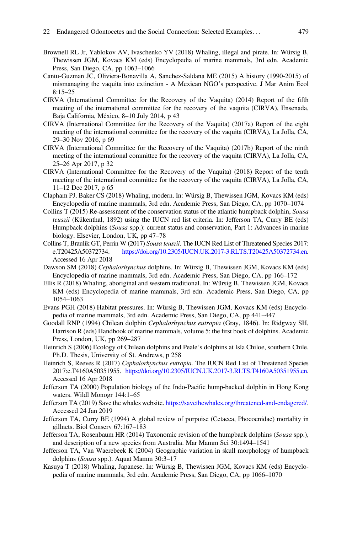- Brownell RL Jr, Yablokov AV, Ivaschenko YV (2018) Whaling, illegal and pirate. In: Würsig B, Thewissen JGM, Kovacs KM (eds) Encyclopedia of marine mammals, 3rd edn. Academic Press, San Diego, CA, pp 1063–1066
- Cantu-Guzman JC, Oliviera-Bonavilla A, Sanchez-Saldana ME (2015) A history (1990-2015) of mismanaging the vaquita into extinction - A Mexican NGO's perspective. J Mar Anim Ecol 8:15–25
- CIRVA (International Committee for the Recovery of the Vaquita) (2014) Report of the fifth meeting of the international committee for the recovery of the vaquita (CIRVA), Ensenada, Baja California, México, 8–10 July 2014, p 43
- CIRVA (International Committee for the Recovery of the Vaquita) (2017a) Report of the eight meeting of the international committee for the recovery of the vaquita (CIRVA), La Jolla, CA, 29–30 Nov 2016, p 69
- CIRVA (International Committee for the Recovery of the Vaquita) (2017b) Report of the ninth meeting of the international committee for the recovery of the vaquita (CIRVA), La Jolla, CA, 25–26 Apr 2017, p 32
- CIRVA (International Committee for the Recovery of the Vaquita) (2018) Report of the tenth meeting of the international committee for the recovery of the vaquita (CIRVA), La Jolla, CA, 11–12 Dec 2017, p 65
- Clapham PJ, Baker CS (2018) Whaling, modern. In: Würsig B, Thewissen JGM, Kovacs KM (eds) Encyclopedia of marine mammals, 3rd edn. Academic Press, San Diego, CA, pp 1070–1074
- Collins T (2015) Re-assessment of the conservation status of the atlantic humpback dolphin, Sousa teuszii (Kükenthal, 1892) using the IUCN red list criteria. In: Jefferson TA, Curry BE (eds) Humpback dolphins (Sousa spp.): current status and conservation, Part 1: Advances in marine biology. Elsevier, London, UK, pp 47–78
- Collins T, Braulik GT, Perrin W (2017) Sousa teuszii. The IUCN Red List of Threatened Species 2017: e.T20425A50372734. <https://doi.org/10.2305/IUCN.UK.2017-3.RLTS.T20425A50372734.en>. Accessed 16 Apr 2018
- Dawson SM (2018) Cephalorhynchus dolphins. In: Würsig B, Thewissen JGM, Kovacs KM (eds) Encyclopedia of marine mammals, 3rd edn. Academic Press, San Diego, CA, pp 166–172
- Ellis R (2018) Whaling, aboriginal and western traditional. In: Würsig B, Thewissen JGM, Kovacs KM (eds) Encyclopedia of marine mammals, 3rd edn. Academic Press, San Diego, CA, pp 1054–1063
- Evans PGH (2018) Habitat pressures. In: Würsig B, Thewissen JGM, Kovacs KM (eds) Encyclopedia of marine mammals, 3rd edn. Academic Press, San Diego, CA, pp 441–447
- Goodall RNP (1994) Chilean dolphin Cephalorhynchus eutropia (Gray, 1846). In: Ridgway SH, Harrison R (eds) Handbook of marine mammals, volume 5: the first book of dolphins. Academic Press, London, UK, pp 269–287
- Heinrich S (2006) Ecology of Chilean dolphins and Peale's dolphins at Isla Chiloe, southern Chile. Ph.D. Thesis, University of St. Andrews, p 258
- Heinrich S, Reeves R (2017) Cephalorhynchus eutropia. The IUCN Red List of Threatened Species 2017:e.T4160A50351955. <https://doi.org/10.2305/IUCN.UK.2017-3.RLTS.T4160A50351955.en>. Accessed 16 Apr 2018
- Jefferson TA (2000) Population biology of the Indo-Pacific hump-backed dolphin in Hong Kong waters. Wildl Monogr 144:1–65
- Jefferson TA (2019) Save the whales website. <https://savethewhales.org/threatened-and-endagered/>. Accessed 24 Jan 2019
- Jefferson TA, Curry BE (1994) A global review of porpoise (Cetacea, Phocoenidae) mortality in gillnets. Biol Conserv 67:167–183
- Jefferson TA, Rosenbaum HR (2014) Taxonomic revision of the humpback dolphins (Sousa spp.), and description of a new species from Australia. Mar Mamm Sci 30:1494–1541
- Jefferson TA, Van Waerebeek K (2004) Geographic variation in skull morphology of humpback dolphins (Sousa spp.). Aquat Mamm 30:3-17
- Kasuya T (2018) Whaling, Japanese. In: Würsig B, Thewissen JGM, Kovacs KM (eds) Encyclopedia of marine mammals, 3rd edn. Academic Press, San Diego, CA, pp 1066–1070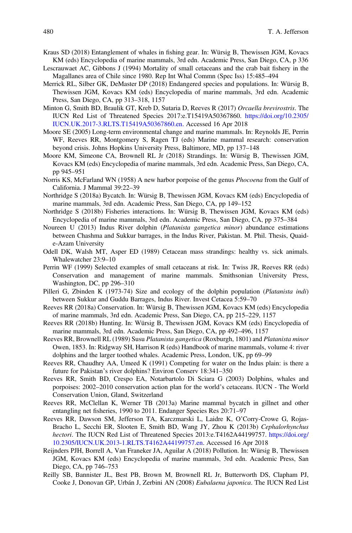- Kraus SD (2018) Entanglement of whales in fishing gear. In: Würsig B, Thewissen JGM, Kovacs KM (eds) Encyclopedia of marine mammals, 3rd edn. Academic Press, San Diego, CA, p 336
- Lescrauwaet AC, Gibbons J (1994) Mortality of small cetaceans and the crab bait fishery in the Magallanes area of Chile since 1980. Rep Int Whal Commn (Spec Iss) 15:485–494
- Merrick RL, Silber GK, DeMaster DP (2018) Endangered species and populations. In: Würsig B, Thewissen JGM, Kovacs KM (eds) Encyclopedia of marine mammals, 3rd edn. Academic Press, San Diego, CA, pp 313–318, 1157
- Minton G, Smith BD, Braulik GT, Kreb D, Sutaria D, Reeves R (2017) Orcaella brevirostris. The IUCN Red List of Threatened Species 2017:e.T15419A50367860. [https://doi.org/10.2305/](https://doi.org/10.2305/IUCN.UK.2017-3.RLTS.T15419A50367860.en) [IUCN.UK.2017-3.RLTS.T15419A50367860.en.](https://doi.org/10.2305/IUCN.UK.2017-3.RLTS.T15419A50367860.en) Accessed 16 Apr 2018
- Moore SE (2005) Long-term environmental change and marine mammals. In: Reynolds JE, Perrin WF, Reeves RR, Montgomery S, Ragen TJ (eds) Marine mammal research: conservation beyond crisis. Johns Hopkins University Press, Baltimore, MD, pp 137–148
- Moore KM, Simeone CA, Brownell RL Jr (2018) Strandings. In: Würsig B, Thewissen JGM, Kovacs KM (eds) Encyclopedia of marine mammals, 3rd edn. Academic Press, San Diego, CA, pp 945–951
- Norris KS, McFarland WN (1958) A new harbor porpoise of the genus Phocoena from the Gulf of California. J Mammal 39:22–39
- Northridge S (2018a) Bycatch. In: Würsig B, Thewissen JGM, Kovacs KM (eds) Encyclopedia of marine mammals, 3rd edn. Academic Press, San Diego, CA, pp 149–152
- Northridge S (2018b) Fisheries interactions. In: Würsig B, Thewissen JGM, Kovacs KM (eds) Encyclopedia of marine mammals, 3rd edn. Academic Press, San Diego, CA, pp 375–384
- Noureen U (2013) Indus River dolphin (Platanista gangetica minor) abundance estimations between Chashma and Sukkur barrages, in the Indus River, Pakistan. M. Phil. Thesis, Quaide-Azam University
- Odell DK, Walsh MT, Asper ED (1989) Cetacean mass strandings: healthy vs. sick animals. Whalewatcher 23:9–10
- Perrin WF (1999) Selected examples of small cetaceans at risk. In: Twiss JR, Reeves RR (eds) Conservation and management of marine mammals. Smithsonian University Press, Washington, DC, pp 296–310
- Pilleri G, Zbinden K (1973-74) Size and ecology of the dolphin population (*Platanista indi*) between Sukkur and Guddu Barrages, Indus River. Invest Cetacea 5:59–70
- Reeves RR (2018a) Conservation. In: Würsig B, Thewissen JGM, Kovacs KM (eds) Encyclopedia of marine mammals, 3rd edn. Academic Press, San Diego, CA, pp 215–229, 1157
- Reeves RR (2018b) Hunting. In: Würsig B, Thewissen JGM, Kovacs KM (eds) Encyclopedia of marine mammals, 3rd edn. Academic Press, San Diego, CA, pp 492–496, 1157
- Reeves RR, Brownell RL (1989) Susu Platanista gangetica (Roxburgh, 1801) and Platanista minor Owen, 1853. In: Ridgway SH, Harrison R (eds) Handbook of marine mammals, volume 4: river dolphins and the larger toothed whales. Academic Press, London, UK, pp 69–99
- Reeves RR, Chaudhry AA, Umeed K (1991) Competing for water on the Indus plain: is there a future for Pakistan's river dolphins? Environ Conserv 18:341–350
- Reeves RR, Smith BD, Crespo EA, Notarbartolo Di Sciara G (2003) Dolphins, whales and porpoises: 2002–2010 conservation action plan for the world's cetaceans. IUCN - The World Conservation Union, Gland, Switzerland
- Reeves RR, McClellan K, Werner TB (2013a) Marine mammal bycatch in gillnet and other entangling net fisheries, 1990 to 2011. Endanger Species Res 20:71–97
- Reeves RR, Dawson SM, Jefferson TA, Karczmarski L, Laidre K, O'Corry-Crowe G, Rojas-Bracho L, Secchi ER, Slooten E, Smith BD, Wang JY, Zhou K (2013b) Cephalorhynchus hectori. The IUCN Red List of Threatened Species 2013:e.T4162A44199757. [https://doi.org/](https://doi.org/10.2305/IUCN.UK.2013-1.RLTS.T4162A44199757.en) [10.2305/IUCN.UK.2013-1.RLTS.T4162A44199757.en](https://doi.org/10.2305/IUCN.UK.2013-1.RLTS.T4162A44199757.en). Accessed 16 Apr 2018
- Reijnders PJH, Borrell A, Van Franeker JA, Aguilar A (2018) Pollution. In: Würsig B, Thewissen JGM, Kovacs KM (eds) Encyclopedia of marine mammals, 3rd edn. Academic Press, San Diego, CA, pp 746–753
- Reilly SB, Bannister JL, Best PB, Brown M, Brownell RL Jr, Butterworth DS, Clapham PJ, Cooke J, Donovan GP, Urbán J, Zerbini AN (2008) Eubalaena japonica. The IUCN Red List